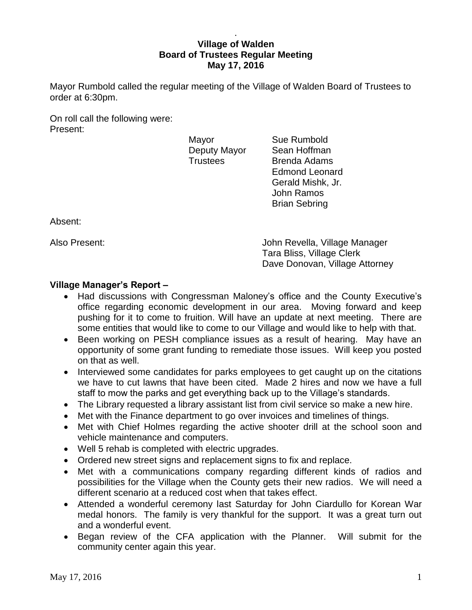## . **Village of Walden Board of Trustees Regular Meeting May 17, 2016**

Mayor Rumbold called the regular meeting of the Village of Walden Board of Trustees to order at 6:30pm.

On roll call the following were: Present:

Mayor **Sue Rumbold** 

Deputy Mayor Sean Hoffman Trustees Brenda Adams Edmond Leonard Gerald Mishk, Jr. John Ramos Brian Sebring

Absent:

Also Present: John Revella, Village Manager Tara Bliss, Village Clerk Dave Donovan, Village Attorney

# **Village Manager's Report –**

- Had discussions with Congressman Maloney's office and the County Executive's office regarding economic development in our area. Moving forward and keep pushing for it to come to fruition. Will have an update at next meeting. There are some entities that would like to come to our Village and would like to help with that.
- Been working on PESH compliance issues as a result of hearing. May have an opportunity of some grant funding to remediate those issues. Will keep you posted on that as well.
- Interviewed some candidates for parks employees to get caught up on the citations we have to cut lawns that have been cited. Made 2 hires and now we have a full staff to mow the parks and get everything back up to the Village's standards.
- The Library requested a library assistant list from civil service so make a new hire.
- Met with the Finance department to go over invoices and timelines of things.
- Met with Chief Holmes regarding the active shooter drill at the school soon and vehicle maintenance and computers.
- Well 5 rehab is completed with electric upgrades.
- Ordered new street signs and replacement signs to fix and replace.
- Met with a communications company regarding different kinds of radios and possibilities for the Village when the County gets their new radios. We will need a different scenario at a reduced cost when that takes effect.
- Attended a wonderful ceremony last Saturday for John Ciardullo for Korean War medal honors. The family is very thankful for the support. It was a great turn out and a wonderful event.
- Began review of the CFA application with the Planner. Will submit for the community center again this year.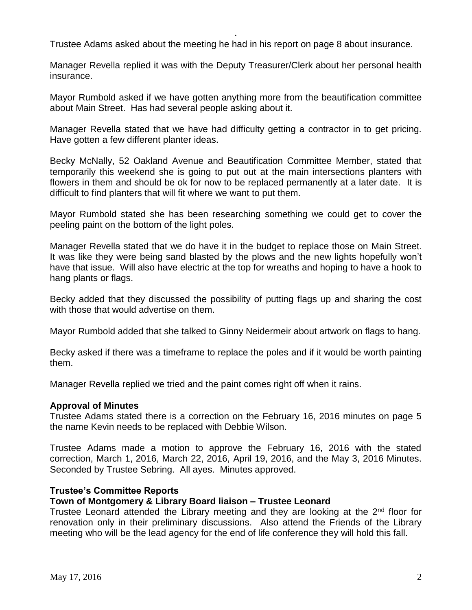Trustee Adams asked about the meeting he had in his report on page 8 about insurance.

.

Manager Revella replied it was with the Deputy Treasurer/Clerk about her personal health insurance.

Mayor Rumbold asked if we have gotten anything more from the beautification committee about Main Street. Has had several people asking about it.

Manager Revella stated that we have had difficulty getting a contractor in to get pricing. Have gotten a few different planter ideas.

Becky McNally, 52 Oakland Avenue and Beautification Committee Member, stated that temporarily this weekend she is going to put out at the main intersections planters with flowers in them and should be ok for now to be replaced permanently at a later date. It is difficult to find planters that will fit where we want to put them.

Mayor Rumbold stated she has been researching something we could get to cover the peeling paint on the bottom of the light poles.

Manager Revella stated that we do have it in the budget to replace those on Main Street. It was like they were being sand blasted by the plows and the new lights hopefully won't have that issue. Will also have electric at the top for wreaths and hoping to have a hook to hang plants or flags.

Becky added that they discussed the possibility of putting flags up and sharing the cost with those that would advertise on them.

Mayor Rumbold added that she talked to Ginny Neidermeir about artwork on flags to hang.

Becky asked if there was a timeframe to replace the poles and if it would be worth painting them.

Manager Revella replied we tried and the paint comes right off when it rains.

#### **Approval of Minutes**

Trustee Adams stated there is a correction on the February 16, 2016 minutes on page 5 the name Kevin needs to be replaced with Debbie Wilson.

Trustee Adams made a motion to approve the February 16, 2016 with the stated correction, March 1, 2016, March 22, 2016, April 19, 2016, and the May 3, 2016 Minutes. Seconded by Trustee Sebring. All ayes. Minutes approved.

#### **Trustee's Committee Reports**

## **Town of Montgomery & Library Board liaison – Trustee Leonard**

Trustee Leonard attended the Library meeting and they are looking at the 2<sup>nd</sup> floor for renovation only in their preliminary discussions. Also attend the Friends of the Library meeting who will be the lead agency for the end of life conference they will hold this fall.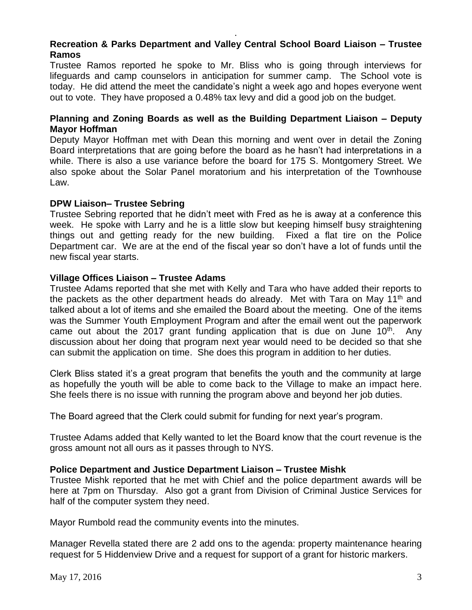# **Recreation & Parks Department and Valley Central School Board Liaison – Trustee Ramos**

.

Trustee Ramos reported he spoke to Mr. Bliss who is going through interviews for lifeguards and camp counselors in anticipation for summer camp. The School vote is today. He did attend the meet the candidate's night a week ago and hopes everyone went out to vote. They have proposed a 0.48% tax levy and did a good job on the budget.

## **Planning and Zoning Boards as well as the Building Department Liaison – Deputy Mayor Hoffman**

Deputy Mayor Hoffman met with Dean this morning and went over in detail the Zoning Board interpretations that are going before the board as he hasn't had interpretations in a while. There is also a use variance before the board for 175 S. Montgomery Street. We also spoke about the Solar Panel moratorium and his interpretation of the Townhouse Law.

## **DPW Liaison– Trustee Sebring**

Trustee Sebring reported that he didn't meet with Fred as he is away at a conference this week. He spoke with Larry and he is a little slow but keeping himself busy straightening things out and getting ready for the new building. Fixed a flat tire on the Police Department car. We are at the end of the fiscal year so don't have a lot of funds until the new fiscal year starts.

## **Village Offices Liaison – Trustee Adams**

Trustee Adams reported that she met with Kelly and Tara who have added their reports to the packets as the other department heads do already. Met with Tara on May 11th and talked about a lot of items and she emailed the Board about the meeting. One of the items was the Summer Youth Employment Program and after the email went out the paperwork came out about the 2017 grant funding application that is due on June  $10<sup>th</sup>$ . Any discussion about her doing that program next year would need to be decided so that she can submit the application on time. She does this program in addition to her duties.

Clerk Bliss stated it's a great program that benefits the youth and the community at large as hopefully the youth will be able to come back to the Village to make an impact here. She feels there is no issue with running the program above and beyond her job duties.

The Board agreed that the Clerk could submit for funding for next year's program.

Trustee Adams added that Kelly wanted to let the Board know that the court revenue is the gross amount not all ours as it passes through to NYS.

# **Police Department and Justice Department Liaison – Trustee Mishk**

Trustee Mishk reported that he met with Chief and the police department awards will be here at 7pm on Thursday. Also got a grant from Division of Criminal Justice Services for half of the computer system they need.

Mayor Rumbold read the community events into the minutes.

Manager Revella stated there are 2 add ons to the agenda: property maintenance hearing request for 5 Hiddenview Drive and a request for support of a grant for historic markers.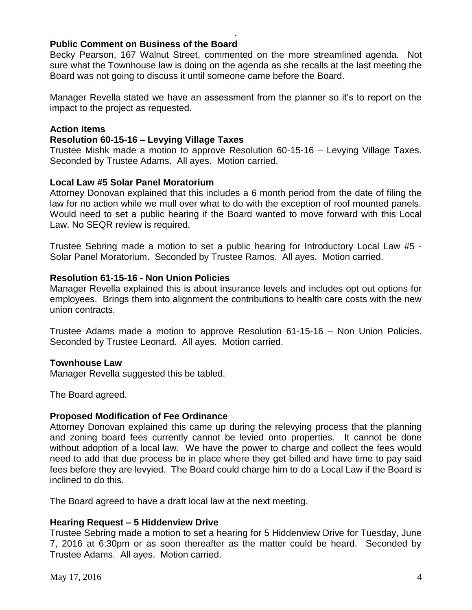## **Public Comment on Business of the Board**

Becky Pearson, 167 Walnut Street, commented on the more streamlined agenda. Not sure what the Townhouse law is doing on the agenda as she recalls at the last meeting the Board was not going to discuss it until someone came before the Board.

.

Manager Revella stated we have an assessment from the planner so it's to report on the impact to the project as requested.

## **Action Items**

## **Resolution 60-15-16 – Levying Village Taxes**

Trustee Mishk made a motion to approve Resolution 60-15-16 – Levying Village Taxes. Seconded by Trustee Adams. All ayes. Motion carried.

## **Local Law #5 Solar Panel Moratorium**

Attorney Donovan explained that this includes a 6 month period from the date of filing the law for no action while we mull over what to do with the exception of roof mounted panels. Would need to set a public hearing if the Board wanted to move forward with this Local Law. No SEQR review is required.

Trustee Sebring made a motion to set a public hearing for Introductory Local Law #5 - Solar Panel Moratorium. Seconded by Trustee Ramos. All ayes. Motion carried.

## **Resolution 61-15-16 - Non Union Policies**

Manager Revella explained this is about insurance levels and includes opt out options for employees. Brings them into alignment the contributions to health care costs with the new union contracts.

Trustee Adams made a motion to approve Resolution 61-15-16 – Non Union Policies. Seconded by Trustee Leonard. All ayes. Motion carried.

## **Townhouse Law**

Manager Revella suggested this be tabled.

The Board agreed.

## **Proposed Modification of Fee Ordinance**

Attorney Donovan explained this came up during the relevying process that the planning and zoning board fees currently cannot be levied onto properties. It cannot be done without adoption of a local law. We have the power to charge and collect the fees would need to add that due process be in place where they get billed and have time to pay said fees before they are levyied. The Board could charge him to do a Local Law if the Board is inclined to do this.

The Board agreed to have a draft local law at the next meeting.

## **Hearing Request – 5 Hiddenview Drive**

Trustee Sebring made a motion to set a hearing for 5 Hiddenview Drive for Tuesday, June 7, 2016 at 6:30pm or as soon thereafter as the matter could be heard. Seconded by Trustee Adams. All ayes. Motion carried.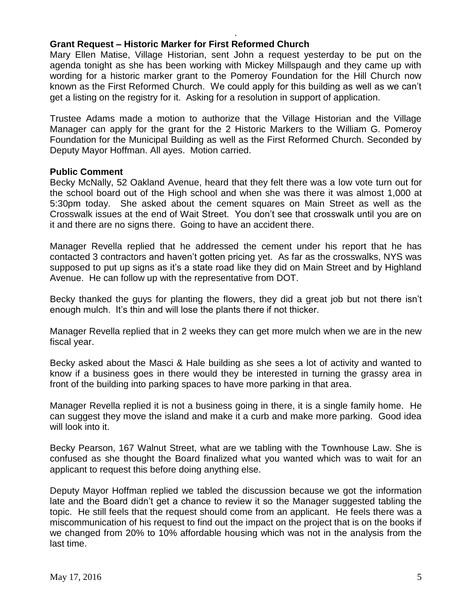# **Grant Request – Historic Marker for First Reformed Church**

Mary Ellen Matise, Village Historian, sent John a request yesterday to be put on the agenda tonight as she has been working with Mickey Millspaugh and they came up with wording for a historic marker grant to the Pomeroy Foundation for the Hill Church now known as the First Reformed Church. We could apply for this building as well as we can't get a listing on the registry for it. Asking for a resolution in support of application.

.

Trustee Adams made a motion to authorize that the Village Historian and the Village Manager can apply for the grant for the 2 Historic Markers to the William G. Pomeroy Foundation for the Municipal Building as well as the First Reformed Church. Seconded by Deputy Mayor Hoffman. All ayes. Motion carried.

## **Public Comment**

Becky McNally, 52 Oakland Avenue, heard that they felt there was a low vote turn out for the school board out of the High school and when she was there it was almost 1,000 at 5:30pm today. She asked about the cement squares on Main Street as well as the Crosswalk issues at the end of Wait Street. You don't see that crosswalk until you are on it and there are no signs there. Going to have an accident there.

Manager Revella replied that he addressed the cement under his report that he has contacted 3 contractors and haven't gotten pricing yet. As far as the crosswalks, NYS was supposed to put up signs as it's a state road like they did on Main Street and by Highland Avenue. He can follow up with the representative from DOT.

Becky thanked the guys for planting the flowers, they did a great job but not there isn't enough mulch. It's thin and will lose the plants there if not thicker.

Manager Revella replied that in 2 weeks they can get more mulch when we are in the new fiscal year.

Becky asked about the Masci & Hale building as she sees a lot of activity and wanted to know if a business goes in there would they be interested in turning the grassy area in front of the building into parking spaces to have more parking in that area.

Manager Revella replied it is not a business going in there, it is a single family home. He can suggest they move the island and make it a curb and make more parking. Good idea will look into it.

Becky Pearson, 167 Walnut Street, what are we tabling with the Townhouse Law. She is confused as she thought the Board finalized what you wanted which was to wait for an applicant to request this before doing anything else.

Deputy Mayor Hoffman replied we tabled the discussion because we got the information late and the Board didn't get a chance to review it so the Manager suggested tabling the topic. He still feels that the request should come from an applicant. He feels there was a miscommunication of his request to find out the impact on the project that is on the books if we changed from 20% to 10% affordable housing which was not in the analysis from the last time.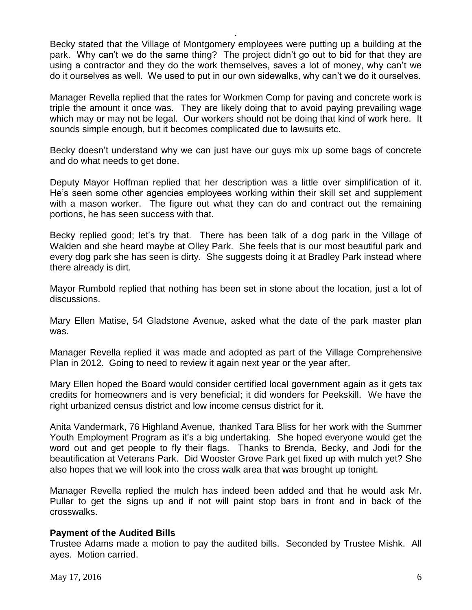Becky stated that the Village of Montgomery employees were putting up a building at the park. Why can't we do the same thing? The project didn't go out to bid for that they are using a contractor and they do the work themselves, saves a lot of money, why can't we do it ourselves as well. We used to put in our own sidewalks, why can't we do it ourselves.

.

Manager Revella replied that the rates for Workmen Comp for paving and concrete work is triple the amount it once was. They are likely doing that to avoid paying prevailing wage which may or may not be legal. Our workers should not be doing that kind of work here. It sounds simple enough, but it becomes complicated due to lawsuits etc.

Becky doesn't understand why we can just have our guys mix up some bags of concrete and do what needs to get done.

Deputy Mayor Hoffman replied that her description was a little over simplification of it. He's seen some other agencies employees working within their skill set and supplement with a mason worker. The figure out what they can do and contract out the remaining portions, he has seen success with that.

Becky replied good; let's try that. There has been talk of a dog park in the Village of Walden and she heard maybe at Olley Park. She feels that is our most beautiful park and every dog park she has seen is dirty. She suggests doing it at Bradley Park instead where there already is dirt.

Mayor Rumbold replied that nothing has been set in stone about the location, just a lot of discussions.

Mary Ellen Matise, 54 Gladstone Avenue, asked what the date of the park master plan was.

Manager Revella replied it was made and adopted as part of the Village Comprehensive Plan in 2012. Going to need to review it again next year or the year after.

Mary Ellen hoped the Board would consider certified local government again as it gets tax credits for homeowners and is very beneficial; it did wonders for Peekskill. We have the right urbanized census district and low income census district for it.

Anita Vandermark, 76 Highland Avenue, thanked Tara Bliss for her work with the Summer Youth Employment Program as it's a big undertaking. She hoped everyone would get the word out and get people to fly their flags. Thanks to Brenda, Becky, and Jodi for the beautification at Veterans Park. Did Wooster Grove Park get fixed up with mulch yet? She also hopes that we will look into the cross walk area that was brought up tonight.

Manager Revella replied the mulch has indeed been added and that he would ask Mr. Pullar to get the signs up and if not will paint stop bars in front and in back of the crosswalks.

# **Payment of the Audited Bills**

Trustee Adams made a motion to pay the audited bills. Seconded by Trustee Mishk. All ayes. Motion carried.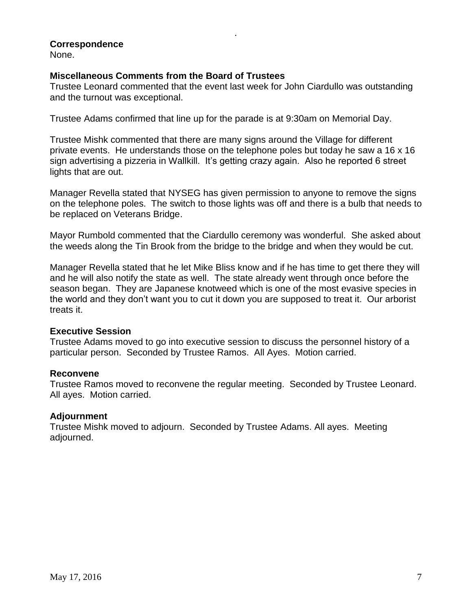# **Correspondence**

None.

## **Miscellaneous Comments from the Board of Trustees**

Trustee Leonard commented that the event last week for John Ciardullo was outstanding and the turnout was exceptional.

.

Trustee Adams confirmed that line up for the parade is at 9:30am on Memorial Day.

Trustee Mishk commented that there are many signs around the Village for different private events. He understands those on the telephone poles but today he saw a 16 x 16 sign advertising a pizzeria in Wallkill. It's getting crazy again. Also he reported 6 street lights that are out.

Manager Revella stated that NYSEG has given permission to anyone to remove the signs on the telephone poles. The switch to those lights was off and there is a bulb that needs to be replaced on Veterans Bridge.

Mayor Rumbold commented that the Ciardullo ceremony was wonderful. She asked about the weeds along the Tin Brook from the bridge to the bridge and when they would be cut.

Manager Revella stated that he let Mike Bliss know and if he has time to get there they will and he will also notify the state as well. The state already went through once before the season began. They are Japanese knotweed which is one of the most evasive species in the world and they don't want you to cut it down you are supposed to treat it. Our arborist treats it.

## **Executive Session**

Trustee Adams moved to go into executive session to discuss the personnel history of a particular person. Seconded by Trustee Ramos. All Ayes. Motion carried.

## **Reconvene**

Trustee Ramos moved to reconvene the regular meeting. Seconded by Trustee Leonard. All ayes. Motion carried.

## **Adjournment**

Trustee Mishk moved to adjourn. Seconded by Trustee Adams. All ayes. Meeting adjourned.